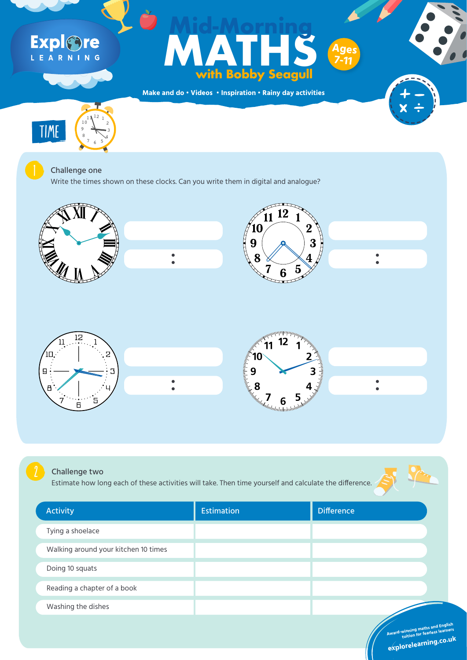**Make and do • Videos • Inspiration • Rainy day activities**

# Explore

#### Maria Harry Control (Maria Harry Control Maria Harry Control Maria Harry Control Maria Harry Control Maria Harry Control Maria Harry Control Maria Harry Control Maria Harry Control Maria Harry Control Maria Harry Control M **MATHS with Bobby Seagull Mid-Morning Ages 7-11**

Write the times shown on these clocks. Can you write them in digital and analogue?





#### Challenge one

 $1$   $1$   $1$   $2$   $1$ 

10

 $9 \leftarrow 3$ 

8 4









| <b>Activity</b> |                                      | <b>Estimation</b> | <b>Difference</b>                                                                         |  |
|-----------------|--------------------------------------|-------------------|-------------------------------------------------------------------------------------------|--|
|                 | Tying a shoelace                     |                   |                                                                                           |  |
|                 | Walking around your kitchen 10 times |                   |                                                                                           |  |
|                 | Doing 10 squats                      |                   |                                                                                           |  |
|                 | Reading a chapter of a book          |                   |                                                                                           |  |
|                 | Washing the dishes                   |                   |                                                                                           |  |
|                 |                                      |                   | Award-winning maths and English<br>tuition for fearless learners<br>explorelearning.co.uk |  |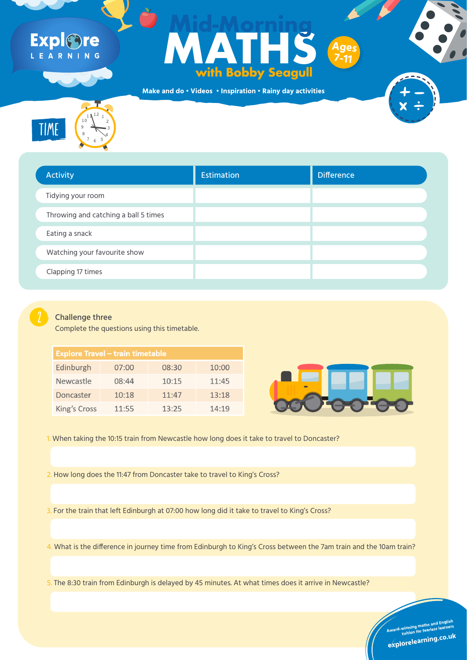**Make and do • Videos • Inspiration • Rainy day activities**

### Expl®re LEARNING

#### FORTUNE TELLERS **MATHS with Bobby Seagull Mid-Morning Ages 7-11**

12

6



| <b>Activity</b>                      | Estimation | Difference |
|--------------------------------------|------------|------------|
| Tidying your room                    |            |            |
| Throwing and catching a ball 5 times |            |            |
| Eating a snack                       |            |            |
| Watching your favourite show         |            |            |
| <b>Clapping 17 times</b>             |            |            |
|                                      |            |            |



Challenge three

Complete the questions using this timetable.

| <b>Explore Travel – train timetable</b> |       |       |       |  |  |  |  |
|-----------------------------------------|-------|-------|-------|--|--|--|--|
| Edinburgh                               | 07:00 | 08:30 | 10:00 |  |  |  |  |
| <b>Newcastle</b>                        | 08:44 | 10:15 | 11:45 |  |  |  |  |
| Doncaster                               | 10:18 | 11:47 | 13:18 |  |  |  |  |
| King's Cross                            | 11:55 | 13:25 | 14:19 |  |  |  |  |



1. When taking the 10:15 train from Newcastle how long does it take to travel to Doncaster?

2. How long does the 11:47 from Doncaster take to travel to King's Cross?

3. For the train that left Edinburgh at 07:00 how long did it take to travel to King's Cross?

4. What is the difference in journey time from Edinburgh to King's Cross between the 7am train and the 10am train?

5. The 8:30 train from Edinburgh is delayed by 45 minutes. At what times does it arrive in Newcastle?